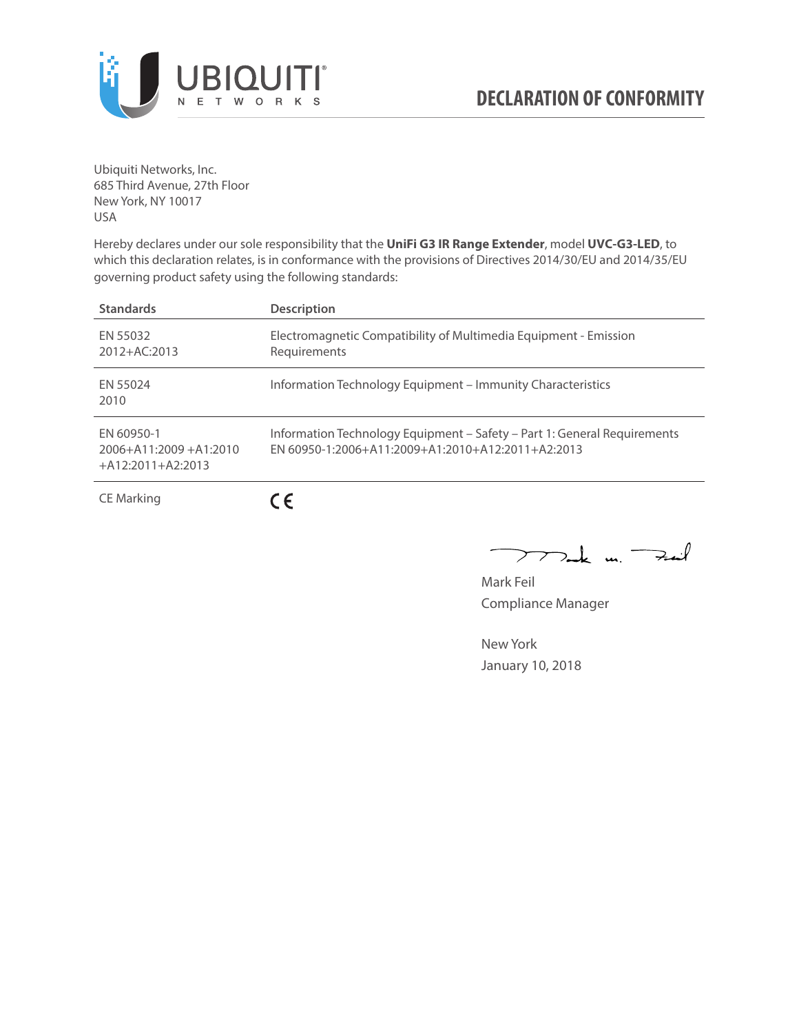

Ubiquiti Networks, Inc. 685 Third Avenue, 27th Floor New York, NY 10017 USA

Hereby declares under our sole responsibility that the **UniFi G3 IR Range Extender**, model **UVC-G3-LED**, to which this declaration relates, is in conformance with the provisions of Directives 2014/30/EU and 2014/35/EU governing product safety using the following standards:

| <b>Standards</b>                                                 | <b>Description</b>                                                                                                            |
|------------------------------------------------------------------|-------------------------------------------------------------------------------------------------------------------------------|
| FN 55032<br>2012+AC:2013                                         | Electromagnetic Compatibility of Multimedia Equipment - Emission<br>Requirements                                              |
| FN 55024<br>2010                                                 | Information Technology Equipment – Immunity Characteristics                                                                   |
| FN 60950-1<br>$2006 + A11:2009 + A1:2010$<br>$+A12:2011+A2:2013$ | Information Technology Equipment - Safety - Part 1: General Requirements<br>FN 60950-1:2006+A11:2009+A1:2010+A12:2011+A2:2013 |
| <b>CE Marking</b>                                                |                                                                                                                               |

 $\nabla$ ak un  $\rightarrow$ ail  $\mathcal{F}$ 

Mark Feil Compliance Manager

New York January 10, 2018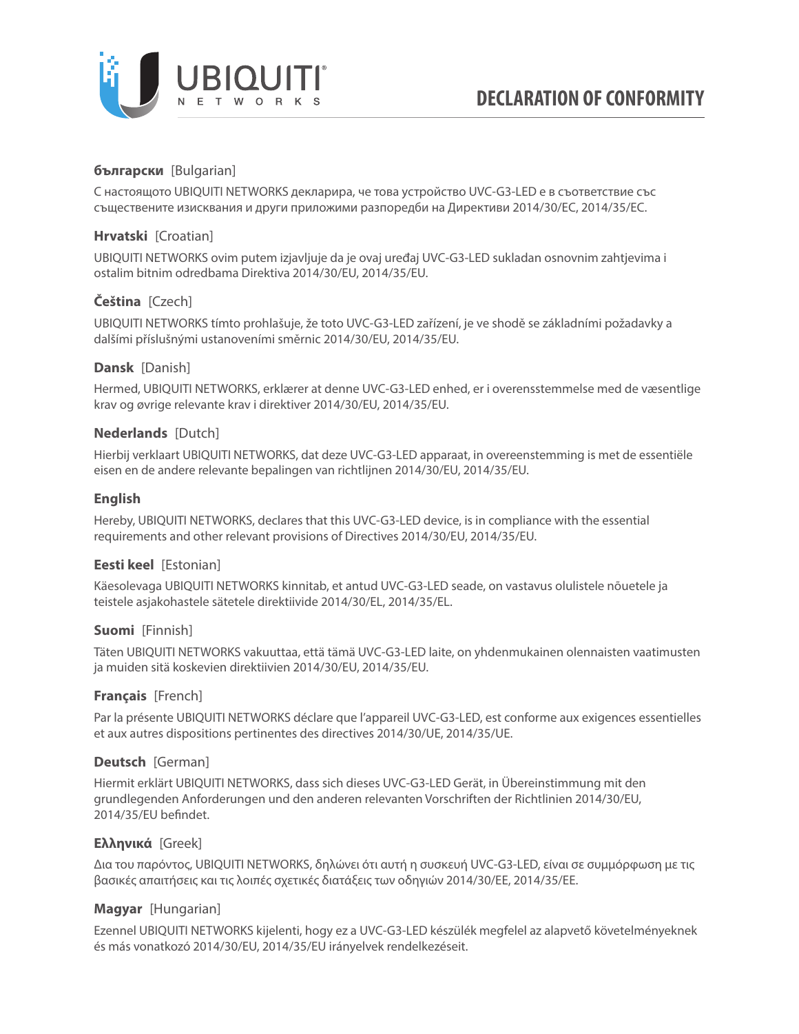

# **български** [Bulgarian]

С настоящото UBIQUITI NETWORKS декларира, че това устройство UVC-G3-LED е в съответствие със съществените изисквания и други приложими разпоредби на Директиви 2014/30/ЕС, 2014/35/ЕС.

# **Hrvatski** [Croatian]

UBIQUITI NETWORKS ovim putem izjavljuje da je ovaj uređaj UVC-G3-LED sukladan osnovnim zahtjevima i ostalim bitnim odredbama Direktiva 2014/30/EU, 2014/35/EU.

# **Čeština** [Czech]

UBIQUITI NETWORKS tímto prohlašuje, že toto UVC-G3-LED zařízení, je ve shodě se základními požadavky a dalšími příslušnými ustanoveními směrnic 2014/30/EU, 2014/35/EU.

## **Dansk** [Danish]

Hermed, UBIQUITI NETWORKS, erklærer at denne UVC-G3-LED enhed, er i overensstemmelse med de væsentlige krav og øvrige relevante krav i direktiver 2014/30/EU, 2014/35/EU.

## **Nederlands** [Dutch]

Hierbij verklaart UBIQUITI NETWORKS, dat deze UVC-G3-LED apparaat, in overeenstemming is met de essentiële eisen en de andere relevante bepalingen van richtlijnen 2014/30/EU, 2014/35/EU.

## **English**

Hereby, UBIQUITI NETWORKS, declares that this UVC-G3-LED device, is in compliance with the essential requirements and other relevant provisions of Directives 2014/30/EU, 2014/35/EU.

# **Eesti keel** [Estonian]

Käesolevaga UBIQUITI NETWORKS kinnitab, et antud UVC-G3-LED seade, on vastavus olulistele nõuetele ja teistele asjakohastele sätetele direktiivide 2014/30/EL, 2014/35/EL.

### **Suomi** [Finnish]

Täten UBIQUITI NETWORKS vakuuttaa, että tämä UVC-G3-LED laite, on yhdenmukainen olennaisten vaatimusten ja muiden sitä koskevien direktiivien 2014/30/EU, 2014/35/EU.

### **Français** [French]

Par la présente UBIQUITI NETWORKS déclare que l'appareil UVC-G3-LED, est conforme aux exigences essentielles et aux autres dispositions pertinentes des directives 2014/30/UE, 2014/35/UE.

### **Deutsch** [German]

Hiermit erklärt UBIQUITI NETWORKS, dass sich dieses UVC-G3-LED Gerät, in Übereinstimmung mit den grundlegenden Anforderungen und den anderen relevanten Vorschriften der Richtlinien 2014/30/EU, 2014/35/EU befindet.

### **Ελληνικά** [Greek]

Δια του παρόντος, UBIQUITI NETWORKS, δηλώνει ότι αυτή η συσκευή UVC-G3-LED, είναι σε συμμόρφωση με τις βασικές απαιτήσεις και τις λοιπές σχετικές διατάξεις των οδηγιών 2014/30/EE, 2014/35/EE.

# **Magyar** [Hungarian]

Ezennel UBIQUITI NETWORKS kijelenti, hogy ez a UVC-G3-LED készülék megfelel az alapvető követelményeknek és más vonatkozó 2014/30/EU, 2014/35/EU irányelvek rendelkezéseit.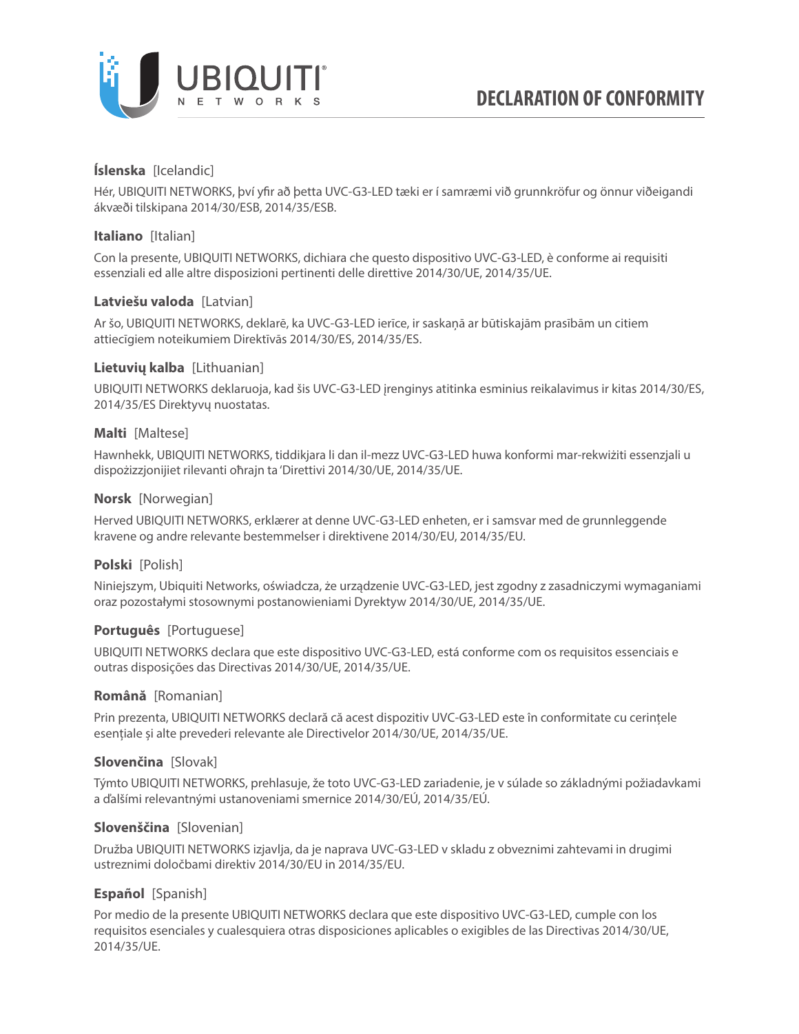

# **Íslenska** [Icelandic]

Hér, UBIQUITI NETWORKS, því yfir að þetta UVC-G3-LED tæki er í samræmi við grunnkröfur og önnur viðeigandi ákvæði tilskipana 2014/30/ESB, 2014/35/ESB.

# **Italiano** [Italian]

Con la presente, UBIQUITI NETWORKS, dichiara che questo dispositivo UVC-G3-LED, è conforme ai requisiti essenziali ed alle altre disposizioni pertinenti delle direttive 2014/30/UE, 2014/35/UE.

## **Latviešu valoda** [Latvian]

Ar šo, UBIQUITI NETWORKS, deklarē, ka UVC-G3-LED ierīce, ir saskaņā ar būtiskajām prasībām un citiem attiecīgiem noteikumiem Direktīvās 2014/30/ES, 2014/35/ES.

## **Lietuvių kalba** [Lithuanian]

UBIQUITI NETWORKS deklaruoja, kad šis UVC-G3-LED įrenginys atitinka esminius reikalavimus ir kitas 2014/30/ES, 2014/35/ES Direktyvų nuostatas.

### **Malti** [Maltese]

Hawnhekk, UBIQUITI NETWORKS, tiddikjara li dan il-mezz UVC-G3-LED huwa konformi mar-rekwiżiti essenzjali u dispożizzjonijiet rilevanti oħrajn ta 'Direttivi 2014/30/UE, 2014/35/UE.

## **Norsk** [Norwegian]

Herved UBIQUITI NETWORKS, erklærer at denne UVC-G3-LED enheten, er i samsvar med de grunnleggende kravene og andre relevante bestemmelser i direktivene 2014/30/EU, 2014/35/EU.

# **Polski** [Polish]

Niniejszym, Ubiquiti Networks, oświadcza, że urządzenie UVC-G3-LED, jest zgodny z zasadniczymi wymaganiami oraz pozostałymi stosownymi postanowieniami Dyrektyw 2014/30/UE, 2014/35/UE.

# **Português** [Portuguese]

UBIQUITI NETWORKS declara que este dispositivo UVC-G3-LED, está conforme com os requisitos essenciais e outras disposições das Directivas 2014/30/UE, 2014/35/UE.

### **Română** [Romanian]

Prin prezenta, UBIQUITI NETWORKS declară că acest dispozitiv UVC-G3-LED este în conformitate cu cerințele esențiale și alte prevederi relevante ale Directivelor 2014/30/UE, 2014/35/UE.

# **Slovenčina** [Slovak]

Týmto UBIQUITI NETWORKS, prehlasuje, že toto UVC-G3-LED zariadenie, je v súlade so základnými požiadavkami a ďalšími relevantnými ustanoveniami smernice 2014/30/EÚ, 2014/35/EÚ.

### **Slovenščina** [Slovenian]

Družba UBIQUITI NETWORKS izjavlja, da je naprava UVC-G3-LED v skladu z obveznimi zahtevami in drugimi ustreznimi določbami direktiv 2014/30/EU in 2014/35/EU.

# **Español** [Spanish]

Por medio de la presente UBIQUITI NETWORKS declara que este dispositivo UVC-G3-LED, cumple con los requisitos esenciales y cualesquiera otras disposiciones aplicables o exigibles de las Directivas 2014/30/UE, 2014/35/UE.